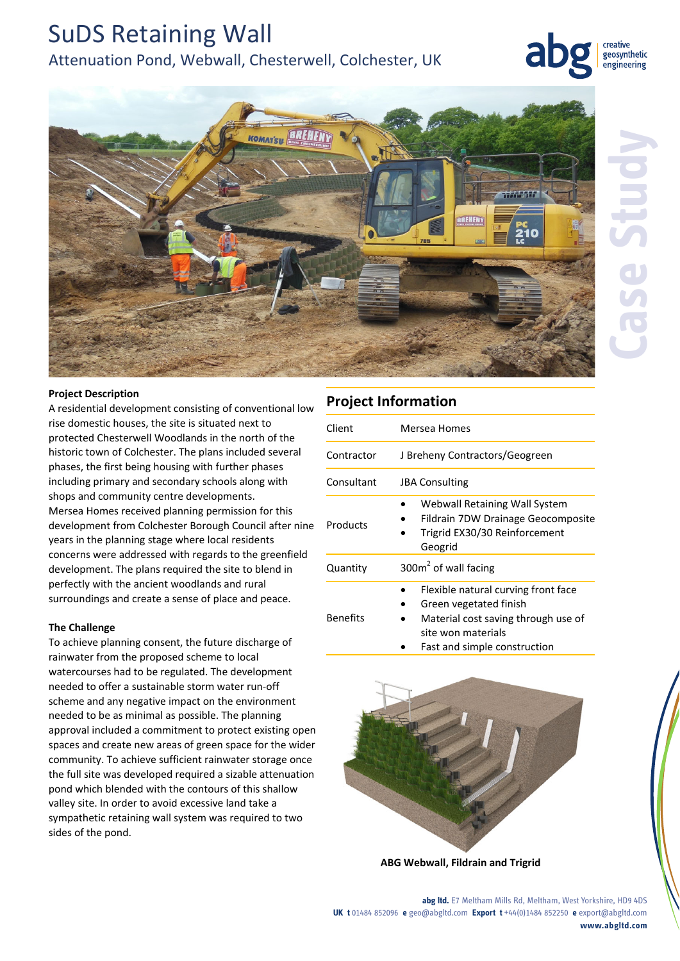# SuDS Retaining Wall

# Attenuation Pond, Webwall, Chesterwell, Colchester, UK



creative geosynthetic engineering



## **Project Description**

A residential development consisting of conventional low rise domestic houses, the site is situated next to protected Chesterwell Woodlands in the north of the historic town of Colchester. The plans included several phases, the first being housing with further phases including primary and secondary schools along with shops and community centre developments. Mersea Homes received planning permission for this development from Colchester Borough Council after nine years in the planning stage where local residents concerns were addressed with regards to the greenfield development. The plans required the site to blend in perfectly with the ancient woodlands and rural surroundings and create a sense of place and peace.

## **The Challenge**

To achieve planning consent, the future discharge of rainwater from the proposed scheme to local watercourses had to be regulated. The development needed to offer a sustainable storm water run‐off scheme and any negative impact on the environment needed to be as minimal as possible. The planning approval included a commitment to protect existing open spaces and create new areas of green space for the wider community. To achieve sufficient rainwater storage once the full site was developed required a sizable attenuation pond which blended with the contours of this shallow valley site. In order to avoid excessive land take a sympathetic retaining wall system was required to two sides of the pond.

# **Project Information**

| Client          | Mersea Homes                                                                                                                                               |
|-----------------|------------------------------------------------------------------------------------------------------------------------------------------------------------|
| Contractor      | J Breheny Contractors/Geogreen                                                                                                                             |
| Consultant      | <b>JBA Consulting</b>                                                                                                                                      |
| Products        | Webwall Retaining Wall System<br>Fildrain 7DW Drainage Geocomposite<br>Trigrid EX30/30 Reinforcement<br>Geogrid                                            |
| Quantity        | $300m2$ of wall facing                                                                                                                                     |
| <b>Benefits</b> | Flexible natural curving front face<br>Green vegetated finish<br>Material cost saving through use of<br>site won materials<br>Fast and simple construction |



**ABG Webwall, Fildrain and Trigrid**

**abg ltd.** E7 Meltham Mills Rd, Meltham, West Yorkshire, HD9 4DS **UK t** 01484 852096 **e** geo@abgltd.com **Export t** +44(0)1484 852250 **e** export@abgltd.com **www.abgltd.com**